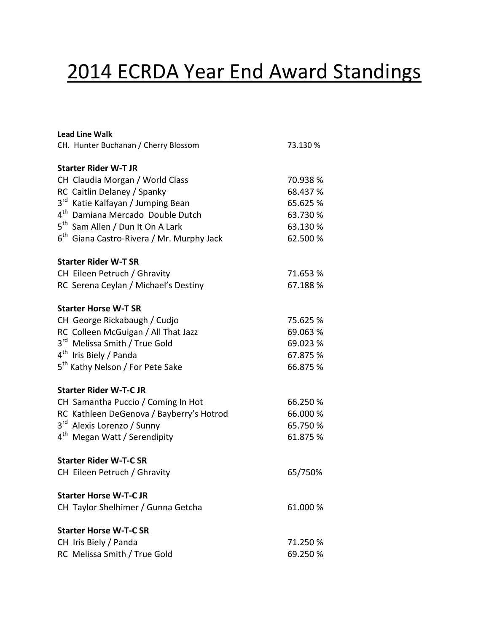# 2014 ECRDA Year End Award Standings

| <b>Lead Line Walk</b>                                    |          |
|----------------------------------------------------------|----------|
| CH. Hunter Buchanan / Cherry Blossom                     | 73.130 % |
| <b>Starter Rider W-T JR</b>                              |          |
| CH Claudia Morgan / World Class                          | 70.938 % |
| RC Caitlin Delaney / Spanky                              | 68.437 % |
| $3^{\text{rd}}$<br>Katie Kalfayan / Jumping Bean         | 65.625 % |
| $4^{\text{th}}$<br>Damiana Mercado Double Dutch          | 63.730 % |
| 5 <sup>th</sup> Sam Allen / Dun It On A Lark             | 63.130 % |
| $6^{\text{th}}$<br>Giana Castro-Rivera / Mr. Murphy Jack | 62.500 % |
| <b>Starter Rider W-T SR</b>                              |          |
| CH Eileen Petruch / Ghravity                             | 71.653 % |
| RC Serena Ceylan / Michael's Destiny                     | 67.188%  |
| <b>Starter Horse W-T SR</b>                              |          |
| CH George Rickabaugh / Cudjo                             | 75.625 % |
| RC Colleen McGuigan / All That Jazz                      | 69.063 % |
| 3 <sup>rd</sup> Melissa Smith / True Gold                | 69.023 % |
| 4 <sup>th</sup> Iris Biely / Panda                       | 67.875 % |
| 5 <sup>th</sup> Kathy Nelson / For Pete Sake             | 66.875 % |
| <b>Starter Rider W-T-C JR</b>                            |          |
| CH Samantha Puccio / Coming In Hot                       | 66.250 % |
| RC Kathleen DeGenova / Bayberry's Hotrod                 | 66.000 % |
| $3^{\text{rd}}$<br>Alexis Lorenzo / Sunny                | 65.750 % |
| 4 <sup>th</sup> Megan Watt / Serendipity                 | 61.875 % |
| <b>Starter Rider W-T-C SR</b>                            |          |
| CH Eileen Petruch / Ghravity                             | 65/750%  |
| <b>Starter Horse W-T-CJR</b>                             |          |
| CH Taylor Shelhimer / Gunna Getcha                       | 61.000 % |
| <b>Starter Horse W-T-C SR</b>                            |          |
| CH Iris Biely / Panda                                    | 71.250 % |
| RC Melissa Smith / True Gold                             | 69.250 % |
|                                                          |          |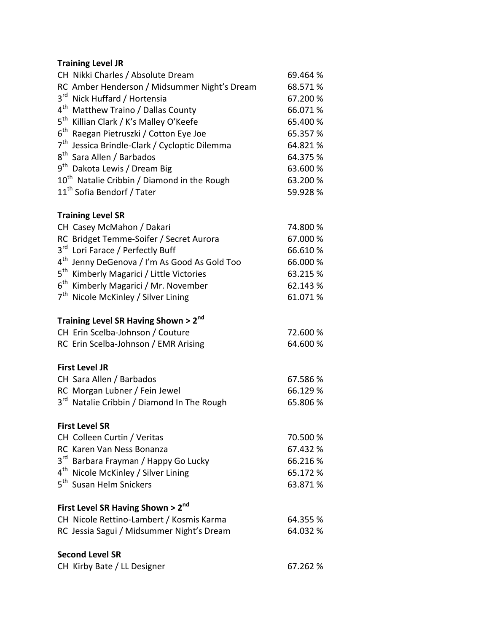## **Training Level JR**

| CH Nikki Charles / Absolute Dream                            | 69.464 % |
|--------------------------------------------------------------|----------|
| RC Amber Henderson / Midsummer Night's Dream                 | 68.571%  |
| $3^{\text{rd}}$<br>Nick Huffard / Hortensia                  | 67.200 % |
| 4 <sup>th</sup><br>Matthew Traino / Dallas County            | 66.071%  |
| $5^{\text{th}}$<br>Killian Clark / K's Malley O'Keefe        | 65.400 % |
| $6^{\text{th}}$<br>Raegan Pietruszki / Cotton Eye Joe        | 65.357 % |
| 7 <sup>th</sup><br>Jessica Brindle-Clark / Cycloptic Dilemma | 64.821%  |
| $8^{\sf th}$<br>Sara Allen / Barbados                        | 64.375 % |
| $9^{th}$<br>Dakota Lewis / Dream Big                         | 63.600 % |
| 10 <sup>th</sup> Natalie Cribbin / Diamond in the Rough      | 63.200 % |
| 11 <sup>th</sup> Sofia Bendorf / Tater                       | 59.928%  |
| <b>Training Level SR</b>                                     |          |
| CH Casey McMahon / Dakari                                    | 74.800 % |
| RC Bridget Temme-Soifer / Secret Aurora                      | 67.000 % |
| 3 <sup>rd</sup><br>Lori Farace / Perfectly Buff              | 66.610%  |
| 4 <sup>th</sup><br>Jenny DeGenova / I'm As Good As Gold Too  | 66.000 % |
| $5^{\text{th}}$<br>Kimberly Magarici / Little Victories      | 63.215 % |
| $6^{\text{th}}$<br>Kimberly Magarici / Mr. November          | 62.143%  |
| 7 <sup>th</sup><br>Nicole McKinley / Silver Lining           | 61.071%  |
| Training Level SR Having Shown > 2nd                         |          |
| CH Erin Scelba-Johnson / Couture                             | 72.600 % |
| RC Erin Scelba-Johnson / EMR Arising                         | 64.600 % |
| <b>First Level JR</b>                                        |          |
| CH Sara Allen / Barbados                                     | 67.586 % |
| RC Morgan Lubner / Fein Jewel                                | 66.129%  |
| 3 <sup>rd</sup> Natalie Cribbin / Diamond In The Rough       | 65.806 % |
| <b>First Level SR</b>                                        |          |
| CH Colleen Curtin / Veritas                                  | 70.500 % |
| RC Karen Van Ness Bonanza                                    | 67.432 % |
| 3 <sup>rd</sup> Barbara Frayman / Happy Go Lucky             | 66.216%  |
| 4 <sup>th</sup> Nicole McKinley / Silver Lining              | 65.172 % |
| 5 <sup>th</sup> Susan Helm Snickers                          | 63.871%  |
| First Level SR Having Shown > 2nd                            |          |
| CH Nicole Rettino-Lambert / Kosmis Karma                     | 64.355 % |
| RC Jessia Sagui / Midsummer Night's Dream                    | 64.032 % |
| <b>Second Level SR</b>                                       |          |
| CH Kirby Bate / LL Designer                                  | 67.262 % |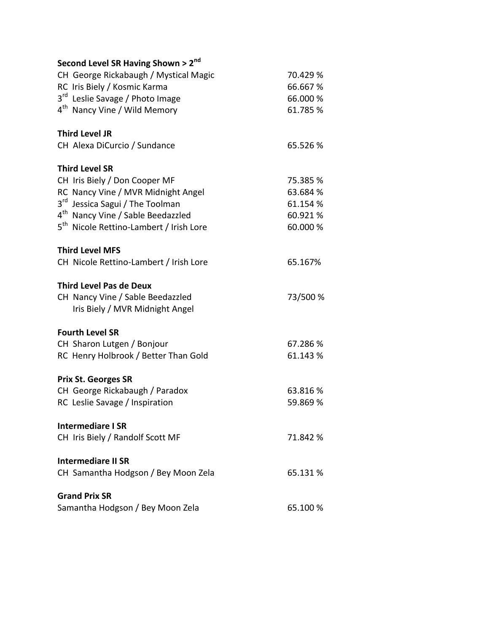| Second Level SR Having Shown > 2nd                                  |          |
|---------------------------------------------------------------------|----------|
| CH George Rickabaugh / Mystical Magic                               | 70.429 % |
| RC Iris Biely / Kosmic Karma                                        | 66.667%  |
| $3^{\text{rd}}$<br>Leslie Savage / Photo Image                      | 66.000 % |
| 4 <sup>th</sup> Nancy Vine / Wild Memory                            | 61.785%  |
| <b>Third Level JR</b>                                               |          |
| CH Alexa DiCurcio / Sundance                                        | 65.526%  |
| <b>Third Level SR</b>                                               |          |
| CH Iris Biely / Don Cooper MF                                       | 75.385 % |
| RC Nancy Vine / MVR Midnight Angel                                  | 63.684 % |
| $3^{\text{rd}}$<br>Jessica Sagui / The Toolman                      | 61.154 % |
| 4 <sup>th</sup> Nancy Vine / Sable Beedazzled                       | 60.921%  |
| 5 <sup>th</sup> Nicole Rettino-Lambert / Irish Lore                 | 60.000 % |
| <b>Third Level MFS</b>                                              |          |
| CH Nicole Rettino-Lambert / Irish Lore                              | 65.167%  |
| <b>Third Level Pas de Deux</b>                                      |          |
| CH Nancy Vine / Sable Beedazzled<br>Iris Biely / MVR Midnight Angel | 73/500 % |
| <b>Fourth Level SR</b>                                              |          |
| CH Sharon Lutgen / Bonjour                                          | 67.286 % |
| RC Henry Holbrook / Better Than Gold                                | 61.143%  |
| <b>Prix St. Georges SR</b>                                          |          |
| CH George Rickabaugh / Paradox                                      | 63.816 % |
| RC Leslie Savage / Inspiration                                      | 59.869 % |
| Intermediare I SR                                                   |          |
| CH Iris Biely / Randolf Scott MF                                    | 71.842 % |
| <b>Intermediare II SR</b>                                           |          |
| CH Samantha Hodgson / Bey Moon Zela                                 | 65.131 % |
| <b>Grand Prix SR</b>                                                |          |
| Samantha Hodgson / Bey Moon Zela                                    | 65.100 % |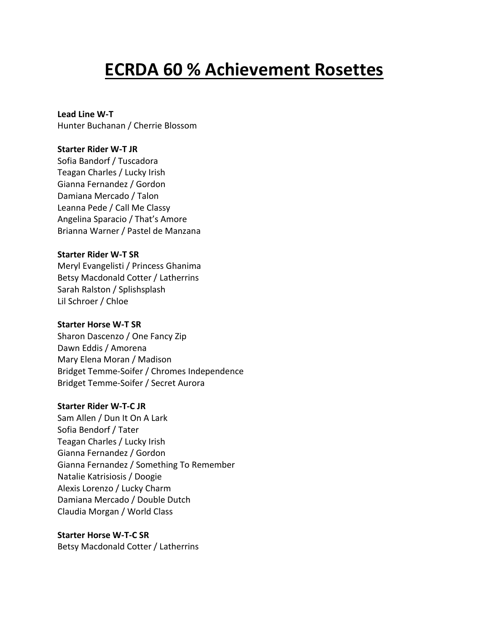# **ECRDA 60 % Achievement Rosettes**

# **Lead Line W-T**

Hunter Buchanan / Cherrie Blossom

## **Starter Rider W-T JR**

Sofia Bandorf / Tuscadora Teagan Charles / Lucky Irish Gianna Fernandez / Gordon Damiana Mercado / Talon Leanna Pede / Call Me Classy Angelina Sparacio / That's Amore Brianna Warner / Pastel de Manzana

### **Starter Rider W-T SR**

Meryl Evangelisti / Princess Ghanima Betsy Macdonald Cotter / Latherrins Sarah Ralston / Splishsplash Lil Schroer / Chloe

### **Starter Horse W-T SR**

Sharon Dascenzo / One Fancy Zip Dawn Eddis / Amorena Mary Elena Moran / Madison Bridget Temme-Soifer / Chromes Independence Bridget Temme-Soifer / Secret Aurora

## **Starter Rider W-T-C JR**

Sam Allen / Dun It On A Lark Sofia Bendorf / Tater Teagan Charles / Lucky Irish Gianna Fernandez / Gordon Gianna Fernandez / Something To Remember Natalie Katrisiosis / Doogie Alexis Lorenzo / Lucky Charm Damiana Mercado / Double Dutch Claudia Morgan / World Class

### **Starter Horse W-T-C SR**

Betsy Macdonald Cotter / Latherrins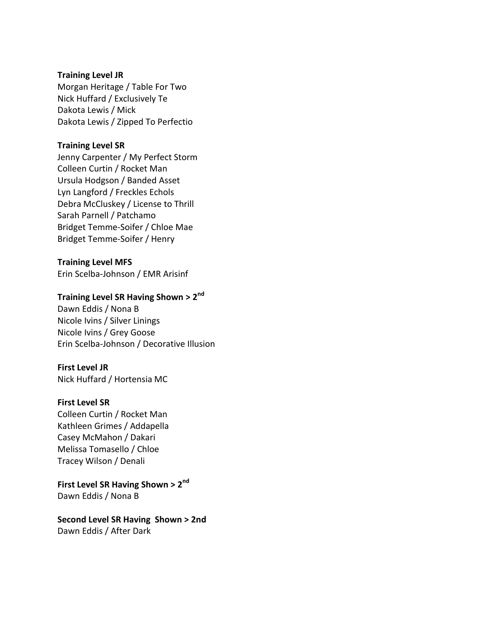#### **Training Level JR**

Morgan Heritage / Table For Two Nick Huffard / Exclusively Te Dakota Lewis / Mick Dakota Lewis / Zipped To Perfectio

#### **Training Level SR**

Jenny Carpenter / My Perfect Storm Colleen Curtin / Rocket Man Ursula Hodgson / Banded Asset Lyn Langford / Freckles Echols Debra McCluskey / License to Thrill Sarah Parnell / Patchamo Bridget Temme-Soifer / Chloe Mae Bridget Temme-Soifer / Henry

#### **Training Level MFS**

Erin Scelba-Johnson / EMR Arisinf

# **Training Level SR Having Shown > 2nd**

Dawn Eddis / Nona B Nicole Ivins / Silver Linings Nicole Ivins / Grey Goose Erin Scelba-Johnson / Decorative Illusion

#### **First Level JR**

Nick Huffard / Hortensia MC

#### **First Level SR**

Colleen Curtin / Rocket Man Kathleen Grimes / Addapella Casey McMahon / Dakari Melissa Tomasello / Chloe Tracey Wilson / Denali

**First Level SR Having Shown > 2nd** Dawn Eddis / Nona B

**Second Level SR Having Shown > 2nd** Dawn Eddis / After Dark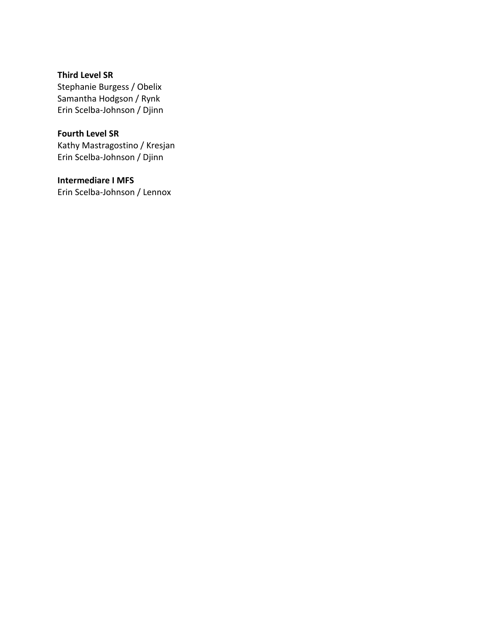**Third Level SR** Stephanie Burgess / Obelix Samantha Hodgson / Rynk Erin Scelba-Johnson / Djinn

**Fourth Level SR** Kathy Mastragostino / Kresjan Erin Scelba-Johnson / Djinn

**Intermediare I MFS** Erin Scelba-Johnson / Lennox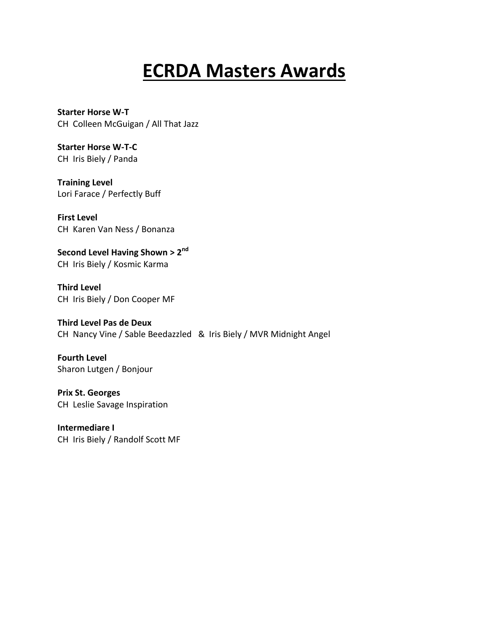# **ECRDA Masters Awards**

**Starter Horse W-T**  CH Colleen McGuigan / All That Jazz

**Starter Horse W-T-C**  CH Iris Biely / Panda

**Training Level** Lori Farace / Perfectly Buff

**First Level**  CH Karen Van Ness / Bonanza

**Second Level Having Shown > 2nd** CH Iris Biely / Kosmic Karma

**Third Level**  CH Iris Biely / Don Cooper MF

**Third Level Pas de Deux** CH Nancy Vine / Sable Beedazzled & Iris Biely / MVR Midnight Angel

**Fourth Level** Sharon Lutgen / Bonjour

**Prix St. Georges**  CH Leslie Savage Inspiration

**Intermediare I** CH Iris Biely / Randolf Scott MF